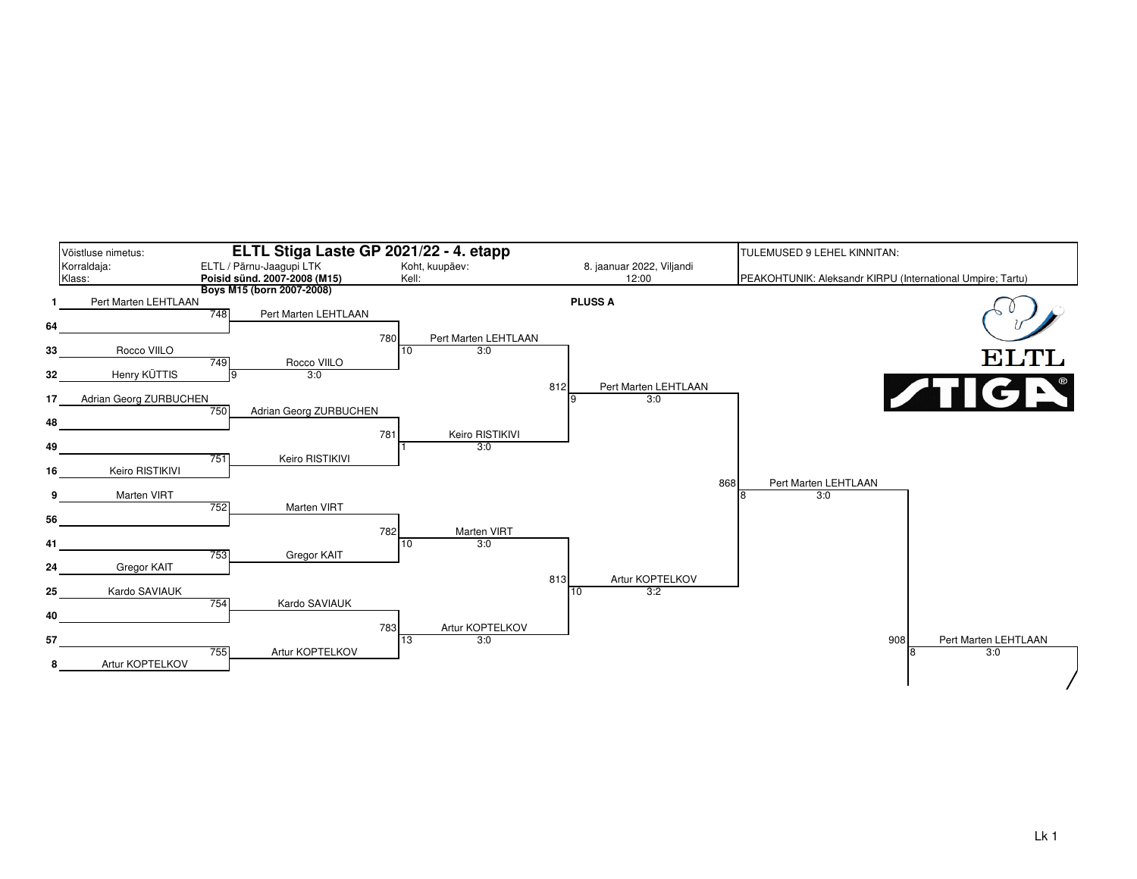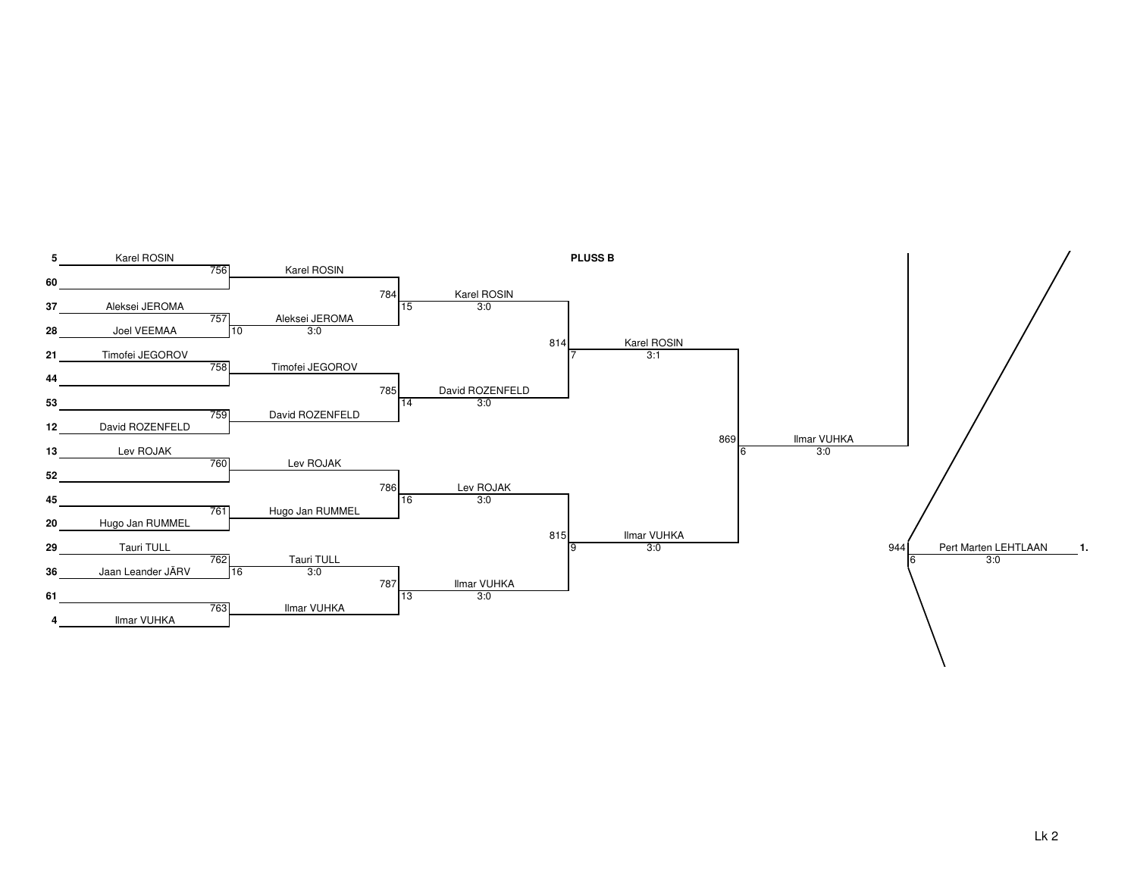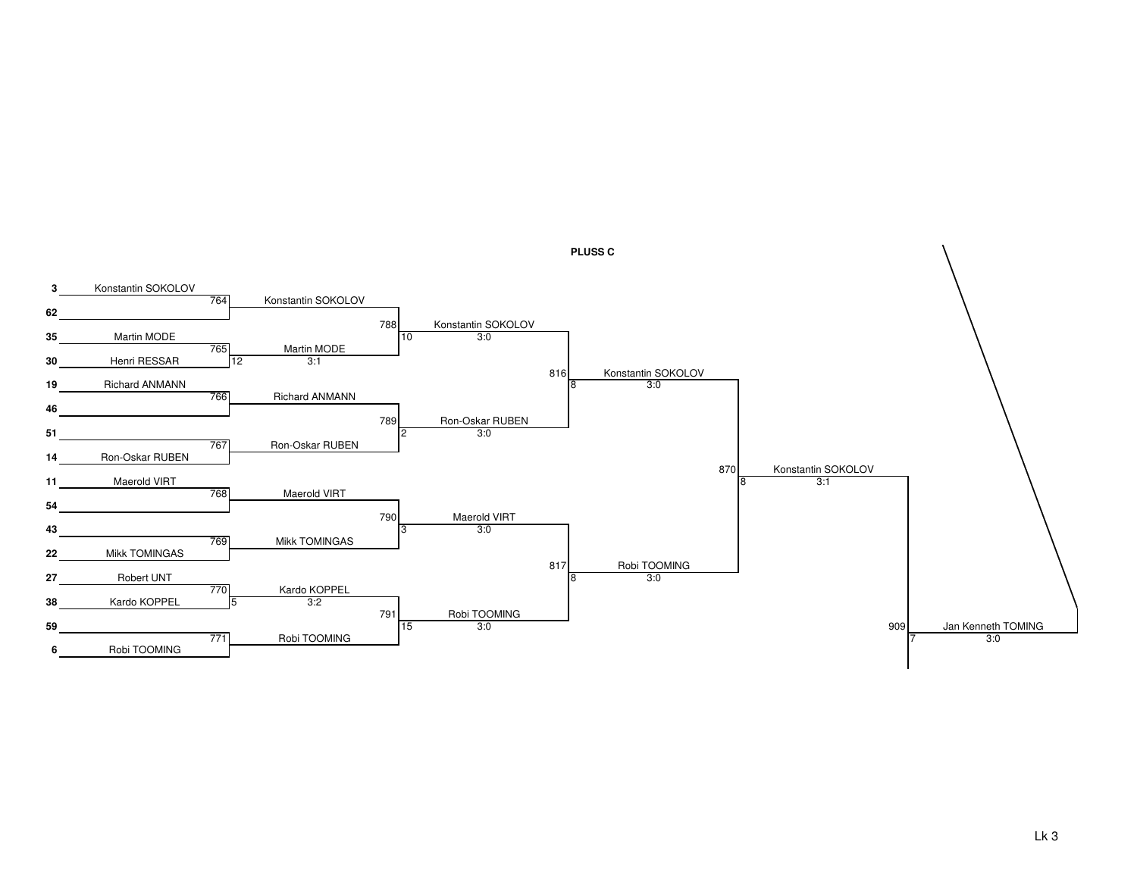

**PLUSS C**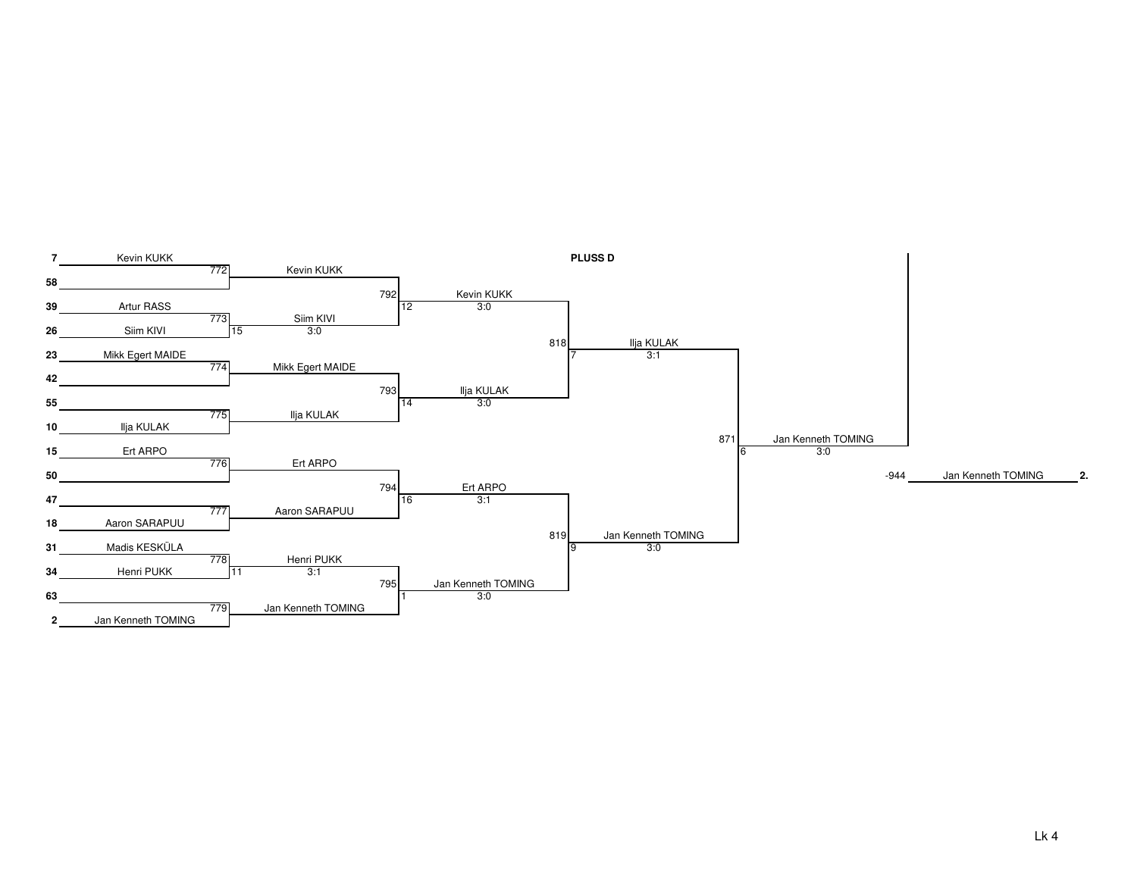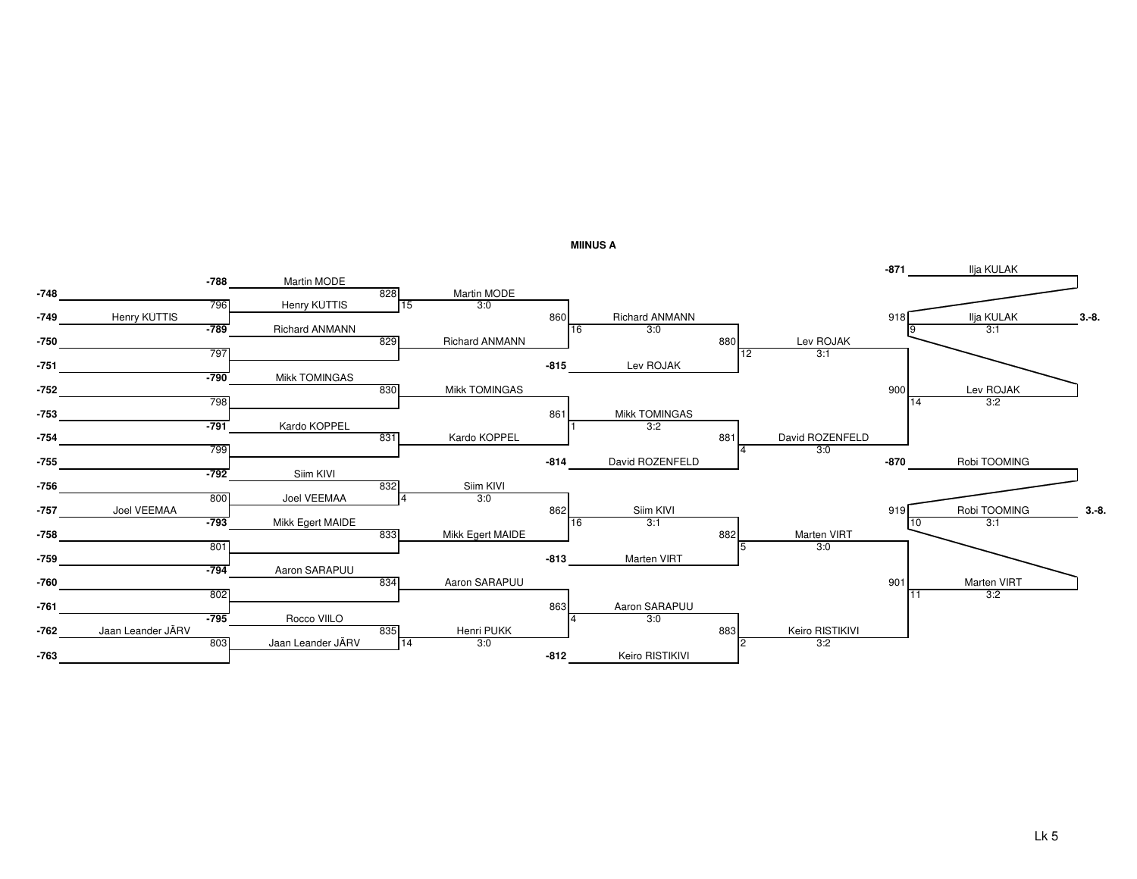

**MIINUS A**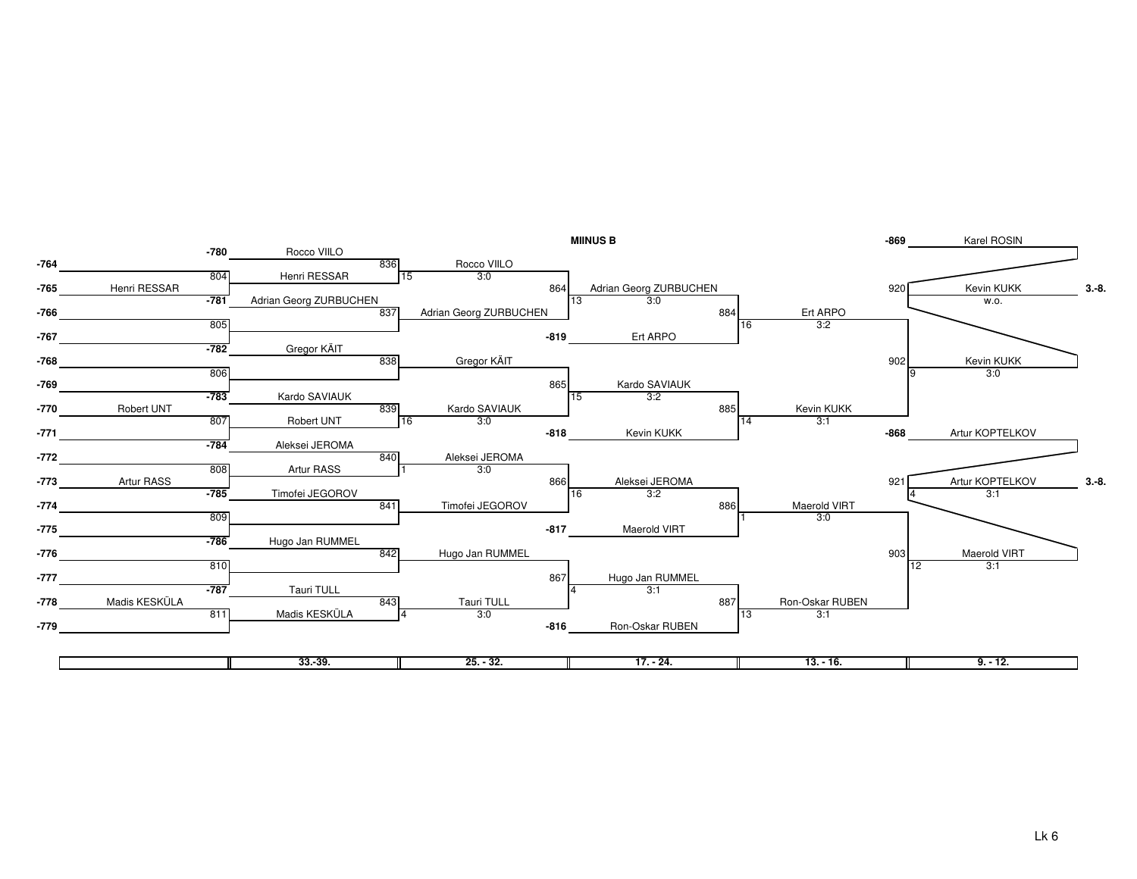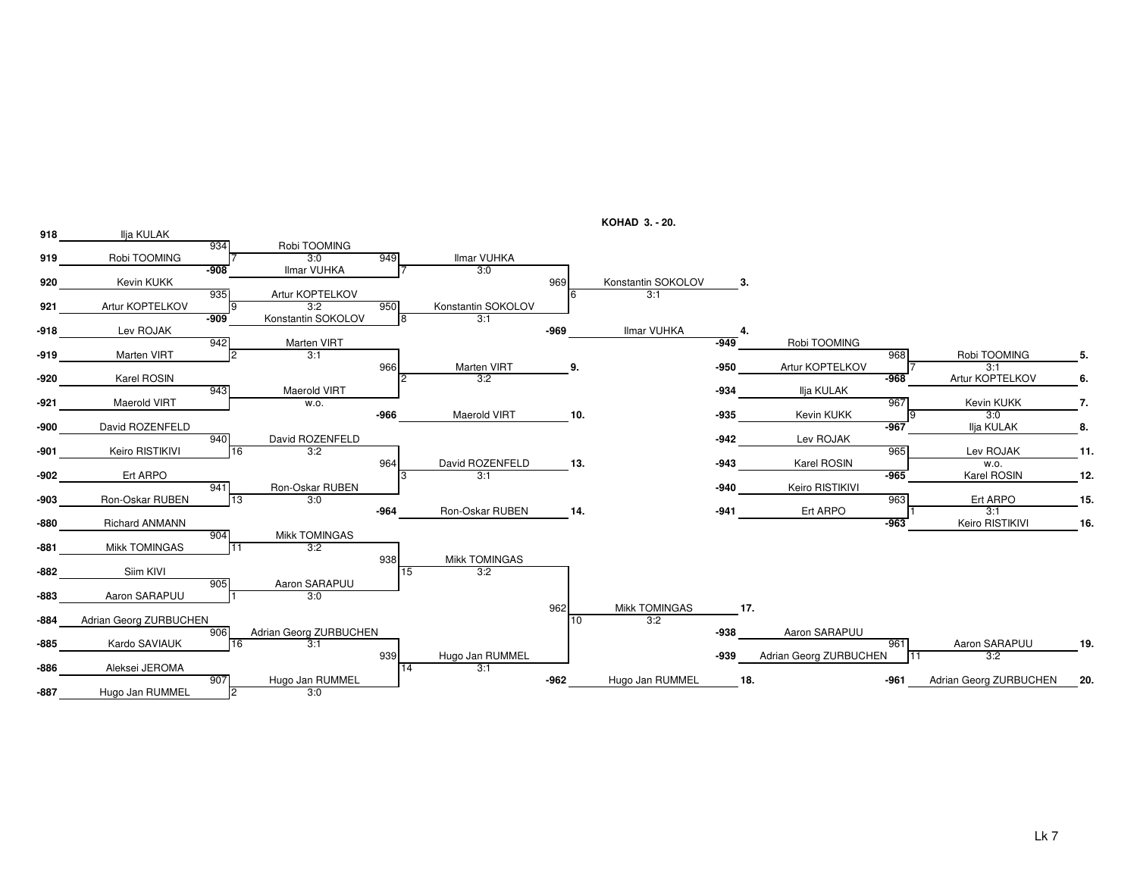

**KOHAD 3. - 20.**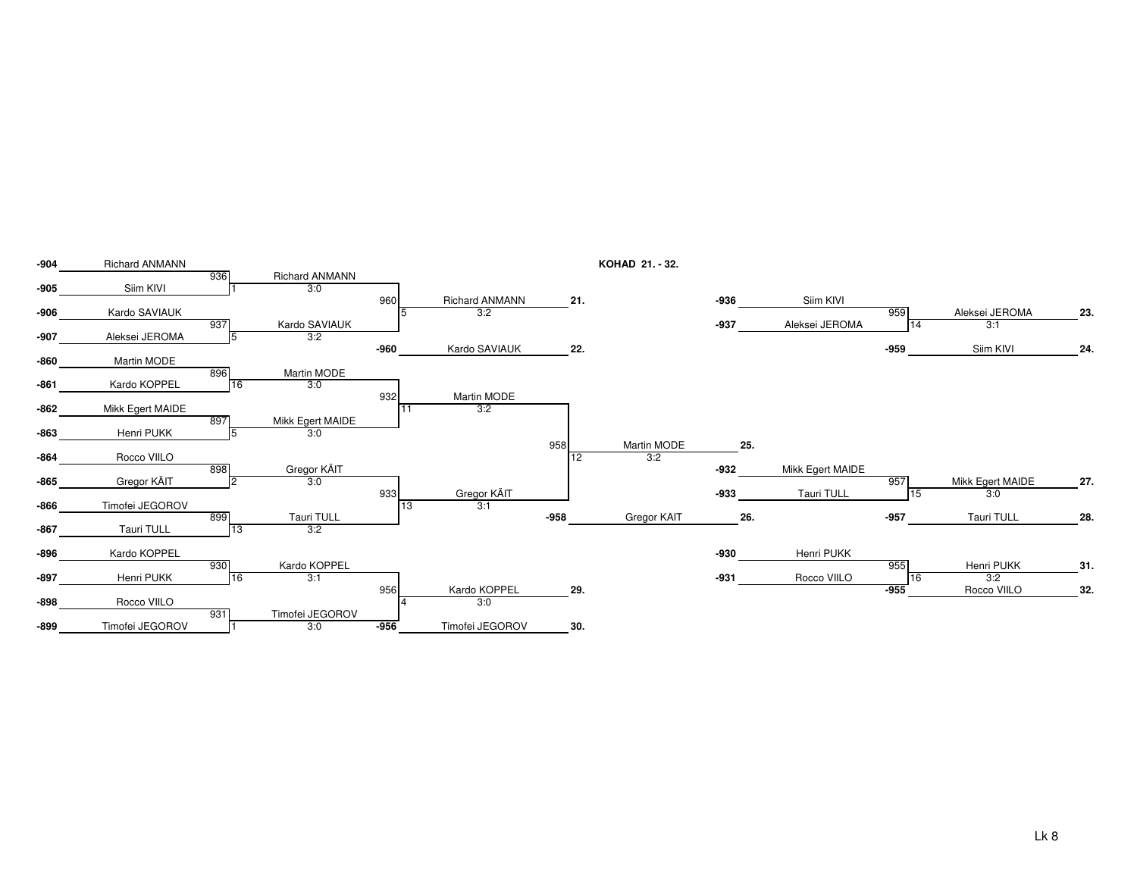